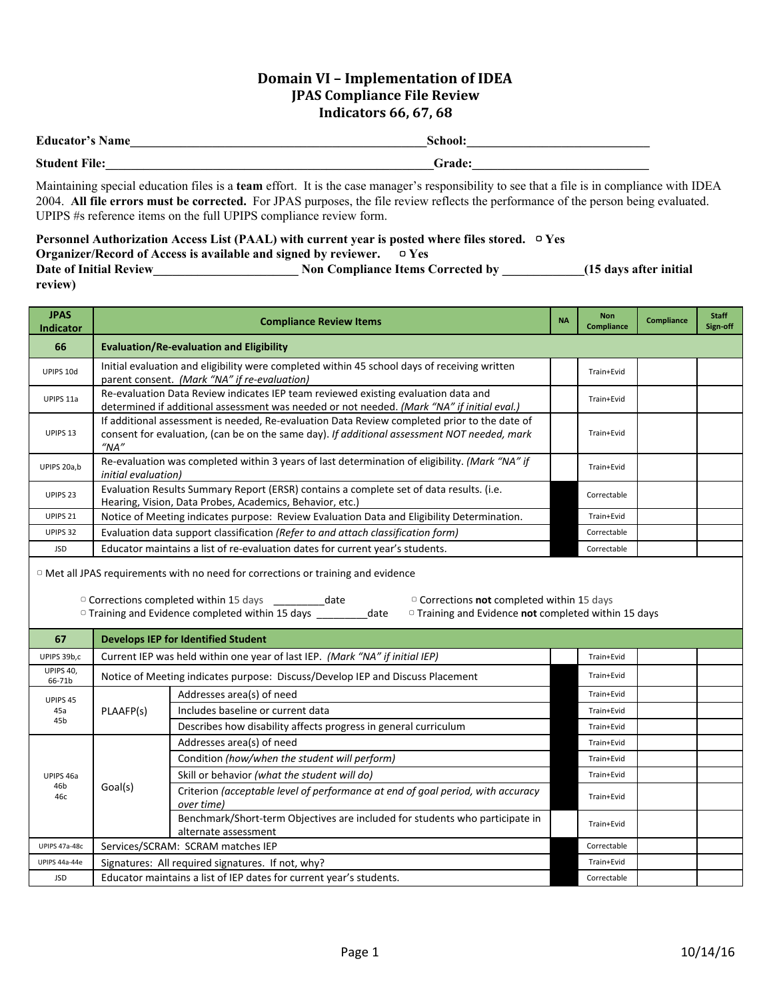## **Domain VI – Implementation of IDEA JPAS Compliance File Review Indicators 66, 67, 68**

| <b>Educator's Name</b> | School:       |
|------------------------|---------------|
| <b>Student File:</b>   | <b>Grade:</b> |

Maintaining special education files is a **team** effort. It is the case manager's responsibility to see that a file is in compliance with IDEA 2004. **All file errors must be corrected.** For JPAS purposes, the file review reflects the performance of the person being evaluated. UPIPS #s reference items on the full UPIPS compliance review form.

|                                                                                   | Personnel Authorization Access List (PAAL) with current year is posted where files stored. $\Box$ Yes |                         |
|-----------------------------------------------------------------------------------|-------------------------------------------------------------------------------------------------------|-------------------------|
| <b>Organizer/Record of Access is available and signed by reviewer.</b> $\Box$ Yes |                                                                                                       |                         |
| <b>Date of Initial Review</b>                                                     | <b>Non Compliance Items Corrected by</b>                                                              | (15 days after initial) |
| review)                                                                           |                                                                                                       |                         |

| <b>JPAS</b><br><b>Indicator</b> | <b>Compliance Review Items</b>                                                                                                                                                                                                                                                                                                                  |  | <b>Non</b><br><b>Compliance</b> | <b>Compliance</b> | <b>Staff</b><br>Sign-off |
|---------------------------------|-------------------------------------------------------------------------------------------------------------------------------------------------------------------------------------------------------------------------------------------------------------------------------------------------------------------------------------------------|--|---------------------------------|-------------------|--------------------------|
| 66                              | <b>Evaluation/Re-evaluation and Eligibility</b>                                                                                                                                                                                                                                                                                                 |  |                                 |                   |                          |
| UPIPS 10d                       | Initial evaluation and eligibility were completed within 45 school days of receiving written<br>parent consent. (Mark "NA" if re-evaluation)                                                                                                                                                                                                    |  |                                 |                   |                          |
| UPIPS 11a                       | Re-evaluation Data Review indicates IEP team reviewed existing evaluation data and<br>determined if additional assessment was needed or not needed. (Mark "NA" if initial eval.)                                                                                                                                                                |  | Train+Evid                      |                   |                          |
| UPIPS 13                        | If additional assessment is needed, Re-evaluation Data Review completed prior to the date of<br>consent for evaluation, (can be on the same day). If additional assessment NOT needed, mark<br>$^{\prime\prime}$ NA $^{\prime\prime}$                                                                                                           |  | Train+Evid                      |                   |                          |
| UPIPS 20a,b                     | Re-evaluation was completed within 3 years of last determination of eligibility. (Mark "NA" if<br><i>initial</i> evaluation)                                                                                                                                                                                                                    |  | Train+Evid                      |                   |                          |
| UPIPS <sub>23</sub>             | Evaluation Results Summary Report (ERSR) contains a complete set of data results. (i.e.<br>Hearing, Vision, Data Probes, Academics, Behavior, etc.)                                                                                                                                                                                             |  | Correctable                     |                   |                          |
| UPIPS <sub>21</sub>             | Notice of Meeting indicates purpose: Review Evaluation Data and Eligibility Determination.                                                                                                                                                                                                                                                      |  | Train+Evid                      |                   |                          |
| UPIPS 32                        | Evaluation data support classification (Refer to and attach classification form)                                                                                                                                                                                                                                                                |  | Correctable                     |                   |                          |
| <b>JSD</b>                      | Educator maintains a list of re-evaluation dates for current year's students.                                                                                                                                                                                                                                                                   |  |                                 |                   |                          |
|                                 | <sup>o</sup> Met all JPAS requirements with no need for corrections or training and evidence<br>□ Corrections completed within 15 days ______________ date<br>$\circ$ Corrections not completed within 15 days<br>□ Training and Evidence completed within 15 days<br>$\circ$ Training and Evidence <b>not</b> completed within 15 days<br>date |  |                                 |                   |                          |
| 67                              | <b>Develops IEP for Identified Student</b>                                                                                                                                                                                                                                                                                                      |  |                                 |                   |                          |
| UPIPS 39b,c                     | Current IEP was held within one year of last IEP. (Mark "NA" if initial IEP)                                                                                                                                                                                                                                                                    |  | Train+Evid                      |                   |                          |
| UPIPS 40,<br>66-71b             | Notice of Meeting indicates purpose: Discuss/Develop IEP and Discuss Placement                                                                                                                                                                                                                                                                  |  | Train+Evid                      |                   |                          |
|                                 |                                                                                                                                                                                                                                                                                                                                                 |  |                                 |                   |                          |

| 66-71b          |                                                                     | Troute of Integrity indicates parpose. Diseasy Develop IEI and Diseasy Hacenicht                     |             |  |
|-----------------|---------------------------------------------------------------------|------------------------------------------------------------------------------------------------------|-------------|--|
| UPIPS 45<br>45a | PLAAFP(s)                                                           | Addresses area(s) of need                                                                            | Train+Evid  |  |
|                 |                                                                     | Includes baseline or current data                                                                    | Train+Evid  |  |
| 45 <sub>b</sub> |                                                                     | Describes how disability affects progress in general curriculum                                      | Train+Evid  |  |
|                 | Goal(s)                                                             | Addresses area(s) of need                                                                            | Train+Evid  |  |
|                 |                                                                     | Condition (how/when the student will perform)                                                        | Train+Evid  |  |
| UPIPS 46a       |                                                                     | Skill or behavior (what the student will do)                                                         | Train+Evid  |  |
| 46b<br>46с      |                                                                     | Criterion (acceptable level of performance at end of goal period, with accuracy<br>over time)        | Train+Evid  |  |
|                 |                                                                     | Benchmark/Short-term Objectives are included for students who participate in<br>alternate assessment | Train+Evid  |  |
| UPIPS 47a-48c   |                                                                     | Services/SCRAM: SCRAM matches IEP                                                                    | Correctable |  |
| UPIPS 44a-44e   |                                                                     | Signatures: All required signatures. If not, why?                                                    |             |  |
| <b>JSD</b>      | Educator maintains a list of IEP dates for current year's students. |                                                                                                      | Correctable |  |